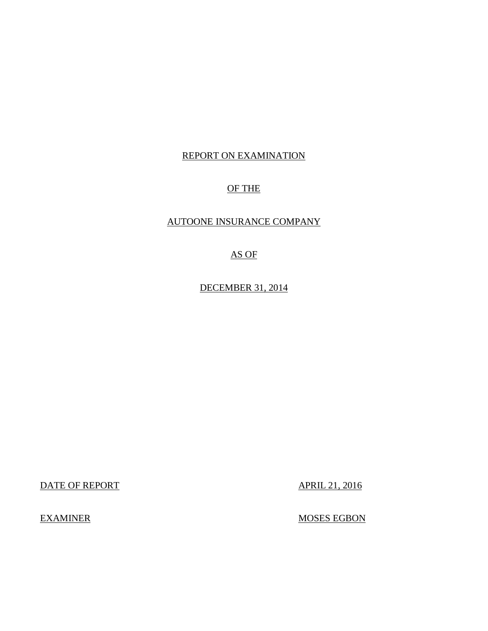## REPORT ON EXAMINATION

## OF THE

## AUTOONE INSURANCE COMPANY

## AS OF

DECEMBER 31, 2014

DATE OF REPORT APRIL 21, 2016

**EXAMINER** 

MOSES EGBON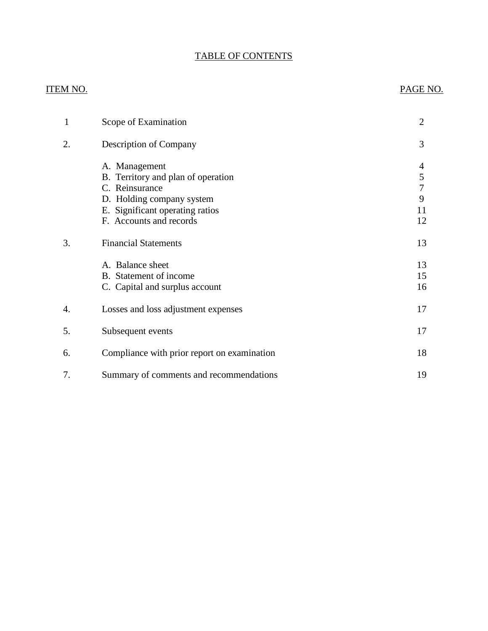## TABLE OF CONTENTS

## ITEM NO. PAGE NO.

| 1  | Scope of Examination                                                                                                                                             | 2                                 |
|----|------------------------------------------------------------------------------------------------------------------------------------------------------------------|-----------------------------------|
| 2. | <b>Description of Company</b>                                                                                                                                    | 3                                 |
|    | A. Management<br>B. Territory and plan of operation<br>C. Reinsurance<br>D. Holding company system<br>E. Significant operating ratios<br>F. Accounts and records | 4<br>5<br>$\tau$<br>9<br>11<br>12 |
| 3. | <b>Financial Statements</b>                                                                                                                                      | 13                                |
|    | A. Balance sheet<br>B. Statement of income<br>C. Capital and surplus account                                                                                     | 13<br>15<br>16                    |
| 4. | Losses and loss adjustment expenses                                                                                                                              | 17                                |
| 5. | Subsequent events                                                                                                                                                | 17                                |
| 6. | Compliance with prior report on examination                                                                                                                      | 18                                |
| 7. | Summary of comments and recommendations                                                                                                                          | 19                                |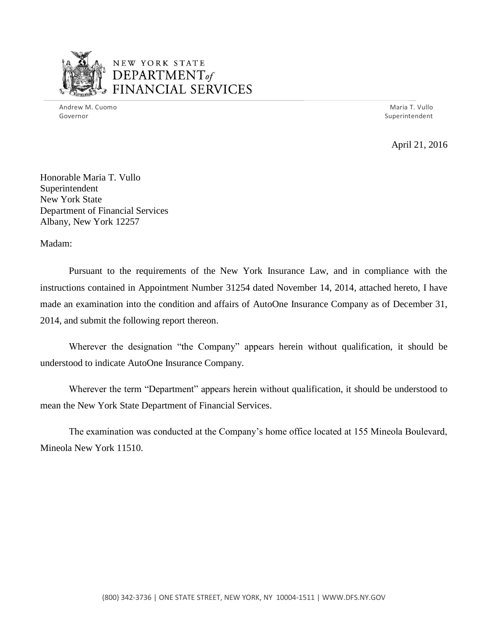

## NEW YORK STATE *DEPARTMENTof ~~\_,.,..r----,0' --..* FINANCIAL SERVICES

 Andrew M. Cuomo Maria T. Vullo Governor Superintendent and Superintendent and Superintendent and Superintendent and Superintendent and Superintendent

April 21, 2016

 Honorable Maria T. Vullo New York State Department of Financial Services Albany, New York 12257 Superintendent

Madam:

 Pursuant to the requirements of the New York Insurance Law, and in compliance with the instructions contained in Appointment Number 31254 dated November 14, 2014, attached hereto, I have made an examination into the condition and affairs of AutoOne Insurance Company as of December 31, 2014, and submit the following report thereon.

 Wherever the designation "the Company" appears herein without qualification, it should be understood to indicate AutoOne Insurance Company.

 Wherever the term "Department" appears herein without qualification, it should be understood to mean the New York State Department of Financial Services.

 The examination was conducted at the Company's home office located at 155 Mineola Boulevard, Mineola New York 11510.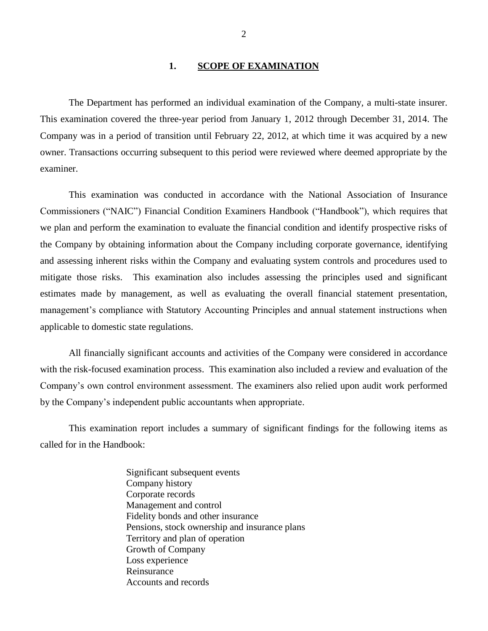#### <span id="page-3-0"></span>**1. SCOPE OF EXAMINATION**

 The Department has performed an individual examination of the Company*,* a multi-state insurer. This examination covered the three-year period from January 1, 2012 through December 31, 2014. The Company was in a period of transition until February 22, 2012, at which time it was acquired by a new owner. Transactions occurring subsequent to this period were reviewed where deemed appropriate by the examiner.

 Commissioners ("NAIC") Financial Condition Examiners Handbook ("Handbook"), which requires that we plan and perform the examination to evaluate the financial condition and identify prospective risks of the Company by obtaining information about the Company including corporate governance, identifying and assessing inherent risks within the Company and evaluating system controls and procedures used to mitigate those risks. This examination also includes assessing the principles used and significant estimates made by management, as well as evaluating the overall financial statement presentation, management's compliance with Statutory Accounting Principles and annual statement instructions when applicable to domestic state regulations. This examination was conducted in accordance with the National Association of Insurance

 with the risk-focused examination process. This examination also included a review and evaluation of the Company's own control environment assessment. The examiners also relied upon audit work performed by the Company's independent public accountants when appropriate. All financially significant accounts and activities of the Company were considered in accordance

 This examination report includes a summary of significant findings for the following items as called for in the Handbook:

> Significant subsequent events Management and control Fidelity bonds and other insurance Pensions, stock ownership and insurance plans Territory and plan of operation Growth of Company Accounts and records Company history Corporate records Loss experience Reinsurance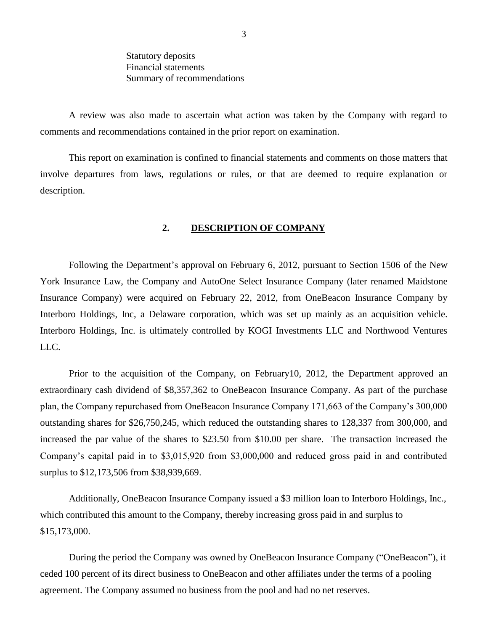Summary of recommendations Statutory deposits Financial statements

 comments and recommendations contained in the prior report on examination. A review was also made to ascertain what action was taken by the Company with regard to

 This report on examination is confined to financial statements and comments on those matters that involve departures from laws, regulations or rules, or that are deemed to require explanation or description.

#### <span id="page-4-0"></span>**2. DESCRIPTION OF COMPANY**

 Following the Department's approval on February 6, 2012, pursuant to Section 1506 of the New York Insurance Law, the Company and AutoOne Select Insurance Company (later renamed Maidstone Insurance Company) were acquired on February 22, 2012, from OneBeacon Insurance Company by Interboro Holdings, Inc, a Delaware corporation, which was set up mainly as an acquisition vehicle. Interboro Holdings, Inc. is ultimately controlled by KOGI Investments LLC and Northwood Ventures LLC. LLC.<br>Prior to the acquisition of the Company, on February10, 2012, the Department approved an

 extraordinary cash dividend of \$8,357,362 to OneBeacon Insurance Company. As part of the purchase plan, the Company repurchased from OneBeacon Insurance Company 171,663 of the Company's 300,000 outstanding shares for \$26,750,245, which reduced the outstanding shares to 128,337 from 300,000, and increased the par value of the shares to \$23.50 from \$10.00 per share. The transaction increased the Company's capital paid in to \$3,015,920 from \$3,000,000 and reduced gross paid in and contributed surplus to \$12,173,506 from \$38,939,669.

 Additionally, OneBeacon Insurance Company issued a \$3 million loan to Interboro Holdings, Inc., which contributed this amount to the Company, thereby increasing gross paid in and surplus to \$15,173,000. \$15,173,000. During the period the Company was owned by OneBeacon Insurance Company ("OneBeacon"), it

 ceded 100 percent of its direct business to OneBeacon and other affiliates under the terms of a pooling agreement. The Company assumed no business from the pool and had no net reserves.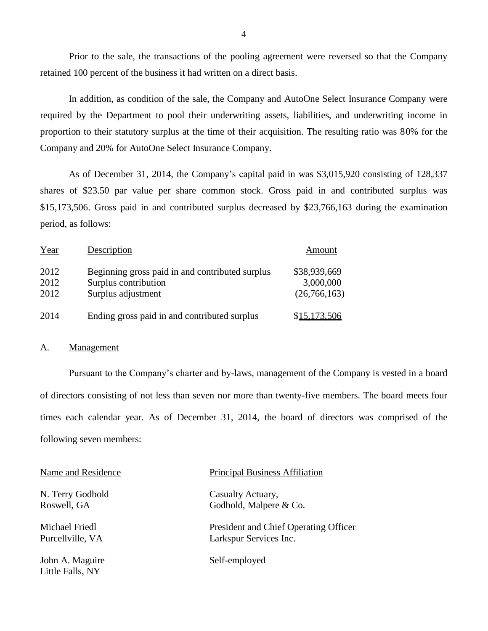Prior to the sale, the transactions of the pooling agreement were reversed so that the Company retained 100 percent of the business it had written on a direct basis.

 In addition, as condition of the sale, the Company and AutoOne Select Insurance Company were required by the Department to pool their underwriting assets, liabilities, and underwriting income in proportion to their statutory surplus at the time of their acquisition. The resulting ratio was 80% for the Company and 20% for AutoOne Select Insurance Company.

 As of December 31, 2014, the Company's capital paid in was \$3,015,920 consisting of 128,337 shares of \$23.50 par value per share common stock. Gross paid in and contributed surplus was \$15,173,506. Gross paid in and contributed surplus decreased by \$23,766,163 during the examination period, as follows:

| Year                 | Description                                                                                   | Amount                                    |
|----------------------|-----------------------------------------------------------------------------------------------|-------------------------------------------|
| 2012<br>2012<br>2012 | Beginning gross paid in and contributed surplus<br>Surplus contribution<br>Surplus adjustment | \$38,939,669<br>3,000,000<br>(26,766,163) |
| 2014                 | Ending gross paid in and contributed surplus                                                  | \$15,173,506                              |

#### <span id="page-5-0"></span>A. Management

 Pursuant to the Company's charter and by-laws, management of the Company is vested in a board of directors consisting of not less than seven nor more than twenty-five members. The board meets four times each calendar year. As of December 31, 2014, the board of directors was comprised of the following seven members:

| Name and Residence                  | <b>Principal Business Affiliation</b> |
|-------------------------------------|---------------------------------------|
| N. Terry Godbold                    | Casualty Actuary,                     |
| Roswell, GA                         | Godbold, Malpere & Co.                |
| Michael Friedl                      | President and Chief Operating Officer |
| Purcellville, VA                    | Larkspur Services Inc.                |
| John A. Maguire<br>Little Falls, NY | Self-employed                         |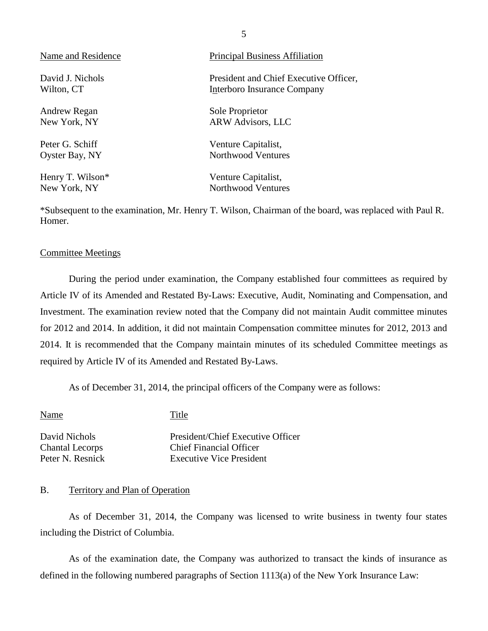| Name and Residence | <b>Principal Business Affiliation</b>  |
|--------------------|----------------------------------------|
| David J. Nichols   | President and Chief Executive Officer, |
| Wilton, CT         | Interboro Insurance Company            |
| Andrew Regan       | Sole Proprietor                        |
| New York, NY       | <b>ARW Advisors, LLC</b>               |
| Peter G. Schiff    | Venture Capitalist,                    |
| Oyster Bay, NY     | Northwood Ventures                     |
| Henry T. Wilson*   | Venture Capitalist,                    |
| New York, NY       | Northwood Ventures                     |

 \*Subsequent to the examination, Mr. Henry T. Wilson, Chairman of the board, was replaced with Paul R. Homer.

#### <span id="page-6-1"></span>Committee Meetings

 During the period under examination, the Company established four committees as required by Article IV of its Amended and Restated By-Laws: Executive, Audit, Nominating and Compensation, and Investment. The examination review noted that the Company did not maintain Audit committee minutes for 2012 and 2014. In addition, it did not maintain Compensation committee minutes for 2012, 2013 and 2014. It is recommended that the Company maintain minutes of its scheduled Committee meetings as required by Article IV of its Amended and Restated By-Laws.

As of December 31, 2014, the principal officers of the Company were as follows:

 David Nichols President/Chief Executive Officer Chantal Lecorps Chief Financial Officer Peter N. Resnick Name Title **Executive Vice President** 

#### <span id="page-6-0"></span>B. Territory and Plan of Operation

 As of December 31, 2014, the Company was licensed to write business in twenty four states including the District of Columbia.

 As of the examination date, the Company was authorized to transact the kinds of insurance as defined in the following numbered paragraphs of Section 1113(a) of the New York Insurance Law: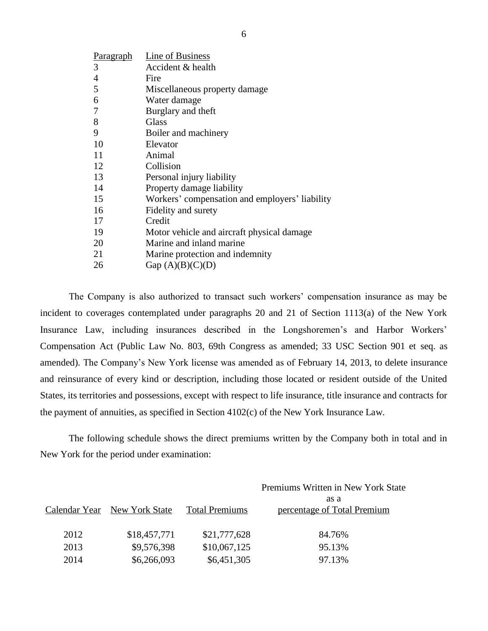| <b>Paragraph</b> | Line of Business                               |
|------------------|------------------------------------------------|
| 3                | Accident & health                              |
| $\overline{4}$   | Fire                                           |
| 5                | Miscellaneous property damage                  |
| 6                | Water damage                                   |
| 7                | Burglary and theft                             |
| 8                | Glass                                          |
| 9                | Boiler and machinery                           |
| 10               | Elevator                                       |
| 11               | Animal                                         |
| 12               | Collision                                      |
| 13               | Personal injury liability                      |
| 14               | Property damage liability                      |
| 15               | Workers' compensation and employers' liability |
| 16               | Fidelity and surety                            |
| 17               | Credit                                         |
| 19               | Motor vehicle and aircraft physical damage     |
| 20               | Marine and inland marine                       |
| 21               | Marine protection and indemnity                |
| 26               | Gap $(A)(B)(C)(D)$                             |
|                  |                                                |

 The Company is also authorized to transact such workers' compensation insurance as may be incident to coverages contemplated under paragraphs 20 and 21 of Section 1113(a) of the New York Insurance Law, including insurances described in the Longshoremen's and Harbor Workers' Compensation Act (Public Law No. 803, 69th Congress as amended; 33 USC Section 901 et seq. as amended). The Company's New York license was amended as of February 14, 2013, to delete insurance and reinsurance of every kind or description, including those located or resident outside of the United States, its territories and possessions, except with respect to life insurance, title insurance and contracts for the payment of annuities, as specified in Section 4102(c) of the New York Insurance Law.

 New York for the period under examination: The following schedule shows the direct premiums written by the Company both in total and in

|                              |                       | Premiums Written in New York State  |
|------------------------------|-----------------------|-------------------------------------|
| Calendar Year New York State | <b>Total Premiums</b> | as a<br>percentage of Total Premium |
| \$18,457,771                 | \$21,777,628          | 84.76%                              |
| \$9,576,398                  | \$10,067,125          | 95.13%                              |
| \$6,266,093                  | \$6,451,305           | 97.13%                              |
|                              |                       |                                     |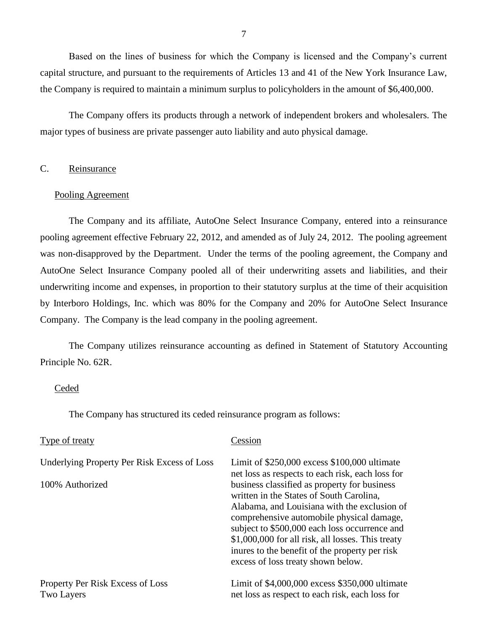Based on the lines of business for which the Company is licensed and the Company's current capital structure, and pursuant to the requirements of Articles 13 and 41 of the New York Insurance Law, the Company is required to maintain a minimum surplus to policyholders in the amount of \$6,400,000.

 major types of business are private passenger auto liability and auto physical damage. The Company offers its products through a network of independent brokers and wholesalers. The

### <span id="page-8-0"></span>C. Reinsurance

#### Pooling Agreement

 The Company and its affiliate, AutoOne Select Insurance Company, entered into a reinsurance pooling agreement effective February 22, 2012, and amended as of July 24, 2012. The pooling agreement was non-disapproved by the Department. Under the terms of the pooling agreement, the Company and AutoOne Select Insurance Company pooled all of their underwriting assets and liabilities, and their underwriting income and expenses, in proportion to their statutory surplus at the time of their acquisition by Interboro Holdings, Inc. which was 80% for the Company and 20% for AutoOne Select Insurance Company. The Company is the lead company in the pooling agreement.

 The Company utilizes reinsurance accounting as defined in Statement of Statutory Accounting Principle No. 62R.

#### Ceded

The Company has structured its ceded reinsurance program as follows:

| Type of treaty                                        | Cession                                                                                                                                                                                                                                                                                                                                                                                                                                 |
|-------------------------------------------------------|-----------------------------------------------------------------------------------------------------------------------------------------------------------------------------------------------------------------------------------------------------------------------------------------------------------------------------------------------------------------------------------------------------------------------------------------|
| Underlying Property Per Risk Excess of Loss           | Limit of $$250,000$ excess $$100,000$ ultimate                                                                                                                                                                                                                                                                                                                                                                                          |
| 100% Authorized                                       | net loss as respects to each risk, each loss for<br>business classified as property for business<br>written in the States of South Carolina,<br>Alabama, and Louisiana with the exclusion of<br>comprehensive automobile physical damage,<br>subject to \$500,000 each loss occurrence and<br>\$1,000,000 for all risk, all losses. This treaty<br>inures to the benefit of the property per risk<br>excess of loss treaty shown below. |
| Property Per Risk Excess of Loss<br><b>Two Layers</b> | Limit of \$4,000,000 excess \$350,000 ultimate<br>net loss as respect to each risk, each loss for                                                                                                                                                                                                                                                                                                                                       |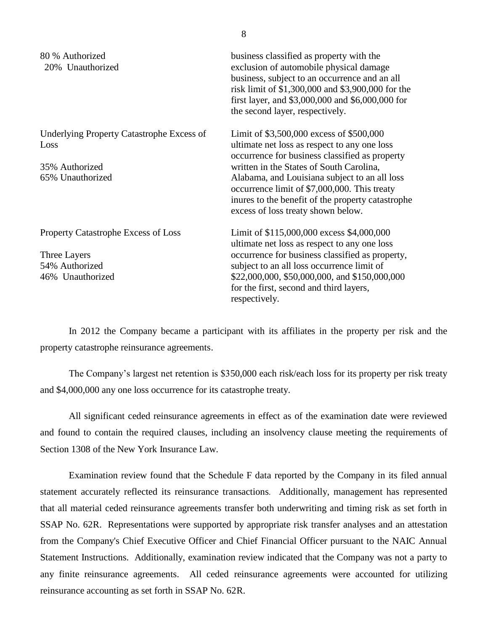| 80 % Authorized<br>20% Unauthorized                      | business classified as property with the<br>exclusion of automobile physical damage<br>business, subject to an occurrence and an all<br>risk limit of \$1,300,000 and \$3,900,000 for the<br>first layer, and $$3,000,000$ and $$6,000,000$ for<br>the second layer, respectively. |
|----------------------------------------------------------|------------------------------------------------------------------------------------------------------------------------------------------------------------------------------------------------------------------------------------------------------------------------------------|
| <b>Underlying Property Catastrophe Excess of</b><br>Loss | Limit of \$3,500,000 excess of \$500,000<br>ultimate net loss as respect to any one loss<br>occurrence for business classified as property                                                                                                                                         |
| 35% Authorized<br>65% Unauthorized                       | written in the States of South Carolina,<br>Alabama, and Louisiana subject to an all loss<br>occurrence limit of \$7,000,000. This treaty<br>inures to the benefit of the property catastrophe<br>excess of loss treaty shown below.                                               |
| Property Catastrophe Excess of Loss                      | Limit of \$115,000,000 excess \$4,000,000<br>ultimate net loss as respect to any one loss                                                                                                                                                                                          |
| Three Layers                                             | occurrence for business classified as property,                                                                                                                                                                                                                                    |
| 54% Authorized                                           | subject to an all loss occurrence limit of                                                                                                                                                                                                                                         |
| 46% Unauthorized                                         | \$22,000,000, \$50,000,000, and \$150,000,000<br>for the first, second and third layers,<br>respectively.                                                                                                                                                                          |

 In 2012 the Company became a participant with its affiliates in the property per risk and the property catastrophe reinsurance agreements.

 The Company's largest net retention is \$350,000 each risk/each loss for its property per risk treaty and \$4,000,000 any one loss occurrence for its catastrophe treaty.

 All significant ceded reinsurance agreements in effect as of the examination date were reviewed and found to contain the required clauses, including an insolvency clause meeting the requirements of Section 1308 of the New York Insurance Law.

 Examination review found that the Schedule F data reported by the Company in its filed annual statement accurately reflected its reinsurance transactions. Additionally, management has represented that all material ceded reinsurance agreements transfer both underwriting and timing risk as set forth in SSAP No. 62R. Representations were supported by appropriate risk transfer analyses and an attestation from the Company's Chief Executive Officer and Chief Financial Officer pursuant to the NAIC Annual Statement Instructions. Additionally, examination review indicated that the Company was not a party to any finite reinsurance agreements. All ceded reinsurance agreements were accounted for utilizing reinsurance accounting as set forth in SSAP No. 62R.

8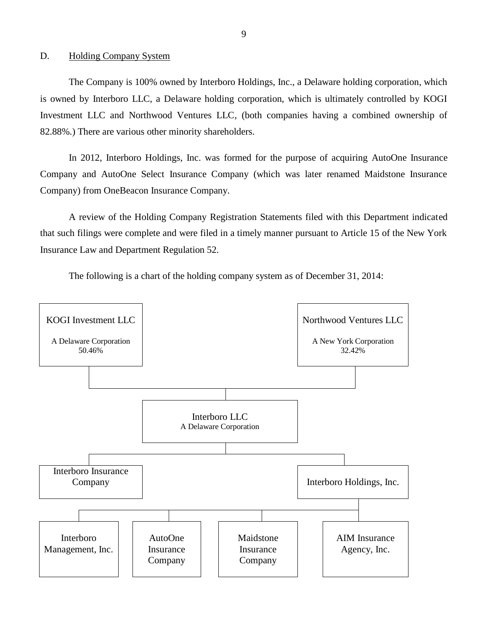#### <span id="page-10-0"></span>D. Holding Company System

 is owned by Interboro LLC, a Delaware holding corporation, which is ultimately controlled by KOGI Investment LLC and Northwood Ventures LLC, (both companies having a combined ownership of 82.88%.) There are various other minority shareholders. The Company is 100% owned by Interboro Holdings, Inc., a Delaware holding corporation, which

 In 2012, Interboro Holdings, Inc. was formed for the purpose of acquiring AutoOne Insurance Company and AutoOne Select Insurance Company (which was later renamed Maidstone Insurance Company) from OneBeacon Insurance Company.

 that such filings were complete and were filed in a timely manner pursuant to Article 15 of the New York Insurance Law and Department Regulation 52. A review of the Holding Company Registration Statements filed with this Department indicated

The following is a chart of the holding company system as of December 31, 2014:



9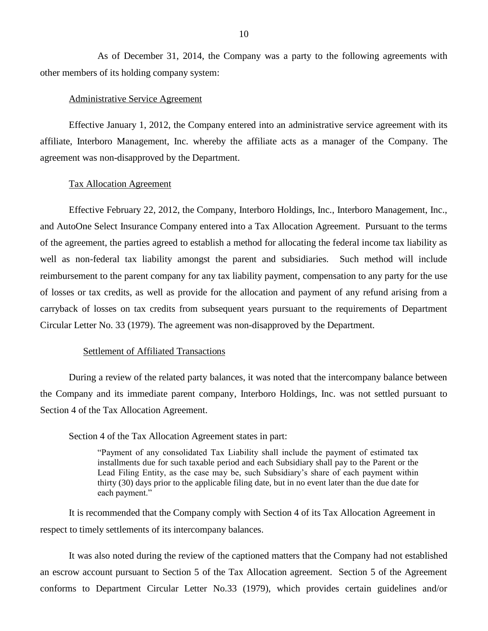As of December 31, 2014, the Company was a party to the following agreements with other members of its holding company system:

#### Administrative Service Agreement

 Effective January 1, 2012, the Company entered into an administrative service agreement with its affiliate, Interboro Management, Inc. whereby the affiliate acts as a manager of the Company. The agreement was non-disapproved by the Department.

#### Tax Allocation Agreement

 Effective February 22, 2012, the Company, Interboro Holdings, Inc., Interboro Management, Inc., and AutoOne Select Insurance Company entered into a Tax Allocation Agreement. Pursuant to the terms of the agreement, the parties agreed to establish a method for allocating the federal income tax liability as well as non-federal tax liability amongst the parent and subsidiaries. Such method will include reimbursement to the parent company for any tax liability payment, compensation to any party for the use of losses or tax credits, as well as provide for the allocation and payment of any refund arising from a carryback of losses on tax credits from subsequent years pursuant to the requirements of Department Circular Letter No. 33 (1979). The agreement was non-disapproved by the Department.

#### Settlement of Affiliated Transactions

<span id="page-11-0"></span> During a review of the related party balances, it was noted that the intercompany balance between the Company and its immediate parent company, Interboro Holdings, Inc. was not settled pursuant to Section 4 of the Tax Allocation Agreement.

Section 4 of the Tax Allocation Agreement states in part:

 "Payment of any consolidated Tax Liability shall include the payment of estimated tax installments due for such taxable period and each Subsidiary shall pay to the Parent or the Lead Filing Entity, as the case may be, such Subsidiary's share of each payment within thirty (30) days prior to the applicable filing date, but in no event later than the due date for each payment."

 respect to timely settlements of its intercompany balances. It is recommended that the Company comply with Section 4 of its Tax Allocation Agreement in

 an escrow account pursuant to Section 5 of the Tax Allocation agreement. Section 5 of the Agreement conforms to Department Circular Letter No.33 (1979), which provides certain guidelines and/or It was also noted during the review of the captioned matters that the Company had not established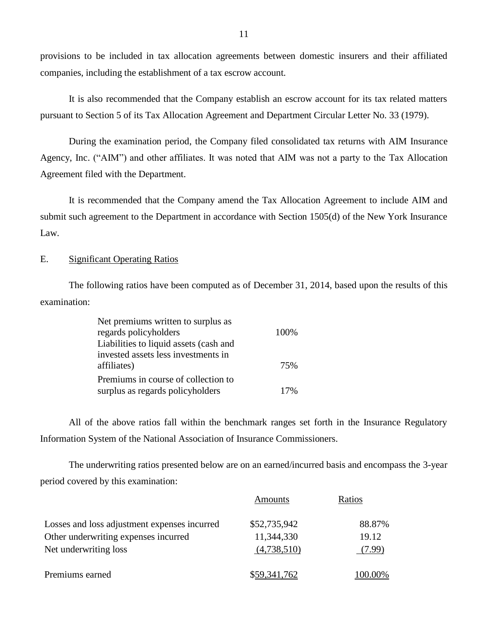provisions to be included in tax allocation agreements between domestic insurers and their affiliated companies, including the establishment of a tax escrow account.

<span id="page-12-1"></span> pursuant to Section 5 of its Tax Allocation Agreement and Department Circular Letter No. 33 (1979). It is also recommended that the Company establish an escrow account for its tax related matters

 During the examination period, the Company filed consolidated tax returns with AIM Insurance Agency, Inc. ("AIM") and other affiliates. It was noted that AIM was not a party to the Tax Allocation Agreement filed with the Department.

<span id="page-12-2"></span> It is recommended that the Company amend the Tax Allocation Agreement to include AIM and submit such agreement to the Department in accordance with Section 1505(d) of the New York Insurance Law.

#### <span id="page-12-0"></span>E. Significant Operating Ratios

The following ratios have been computed as of December 31, 2014, based upon the results of this examination:

| Net premiums written to surplus as     |      |
|----------------------------------------|------|
| regards policyholders                  | 100% |
| Liabilities to liquid assets (cash and |      |
| invested assets less investments in    |      |
| affiliates)                            | 75%  |
| Premiums in course of collection to    |      |
| surplus as regards policyholders       | 17%  |

 Information System of the National Association of Insurance Commissioners. All of the above ratios fall within the benchmark ranges set forth in the Insurance Regulatory

 period covered by this examination: The underwriting ratios presented below are on an earned/incurred basis and encompass the 3-year

|                                              | Amounts      | Ratios  |
|----------------------------------------------|--------------|---------|
| Losses and loss adjustment expenses incurred | \$52,735,942 | 88.87%  |
| Other underwriting expenses incurred         | 11,344,330   | 19.12   |
| Net underwriting loss                        | (4,738,510)  | 7.99)   |
| Premiums earned                              | \$59,341,762 | 100.00% |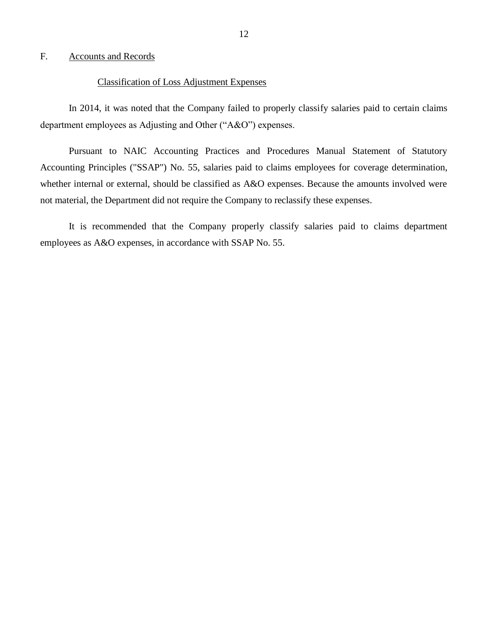#### <span id="page-13-1"></span><span id="page-13-0"></span>F. Accounts and Records

#### Classification of Loss Adjustment Expenses

 department employees as Adjusting and Other ("A&O") expenses. In 2014, it was noted that the Company failed to properly classify salaries paid to certain claims

 Pursuant to NAIC Accounting Practices and Procedures Manual Statement of Statutory Accounting Principles ("SSAP") No. 55, salaries paid to claims employees for coverage determination, whether internal or external, should be classified as A&O expenses. Because the amounts involved were not material, the Department did not require the Company to reclassify these expenses.

 It is recommended that the Company properly classify salaries paid to claims department employees as A&O expenses, in accordance with SSAP No. 55.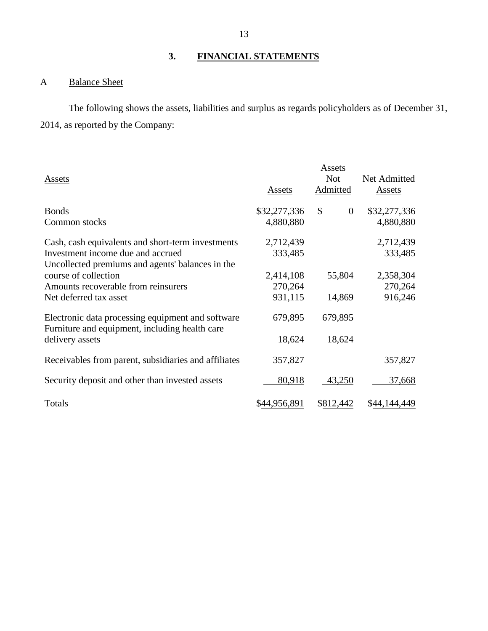## <span id="page-14-0"></span>**3. FINANCIAL STATEMENTS**

#### <span id="page-14-1"></span>A Balance Sheet

 2014, as reported by the Company: The following shows the assets, liabilities and surplus as regards policyholders as of December 31,

| Assets                                                                                              | Assets       | Assets<br><b>Not</b><br>Admitted | Net Admitted<br><b>Assets</b> |
|-----------------------------------------------------------------------------------------------------|--------------|----------------------------------|-------------------------------|
| <b>Bonds</b>                                                                                        | \$32,277,336 | \$<br>$\overline{0}$             | \$32,277,336                  |
| Common stocks                                                                                       | 4,880,880    |                                  | 4,880,880                     |
| Cash, cash equivalents and short-term investments                                                   | 2,712,439    |                                  | 2,712,439                     |
| Investment income due and accrued                                                                   | 333,485      |                                  | 333,485                       |
| Uncollected premiums and agents' balances in the                                                    |              |                                  |                               |
| course of collection                                                                                | 2,414,108    | 55,804                           | 2,358,304                     |
| Amounts recoverable from reinsurers                                                                 | 270,264      |                                  | 270,264                       |
| Net deferred tax asset                                                                              | 931,115      | 14,869                           | 916,246                       |
| Electronic data processing equipment and software<br>Furniture and equipment, including health care | 679,895      | 679,895                          |                               |
| delivery assets                                                                                     | 18,624       | 18,624                           |                               |
| Receivables from parent, subsidiaries and affiliates                                                | 357,827      |                                  | 357,827                       |
| Security deposit and other than invested assets                                                     | 80,918       | 43,250                           | 37,668                        |
| Totals                                                                                              | \$44,956,891 | <u>\$812,442</u>                 | \$44,144,449                  |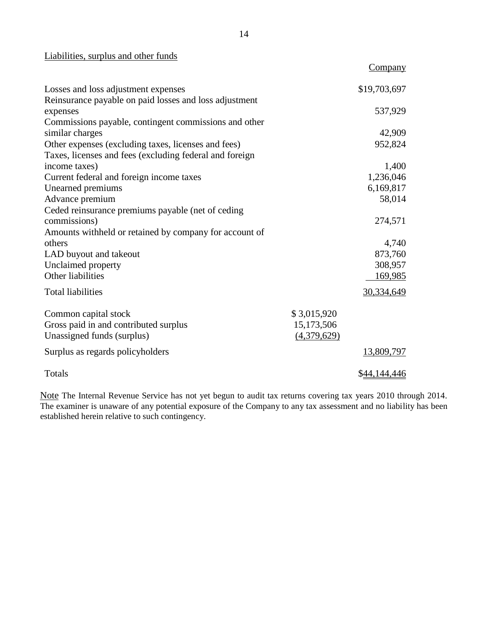#### Liabilities, surplus and other funds

|                                                         |             | Company      |
|---------------------------------------------------------|-------------|--------------|
| Losses and loss adjustment expenses                     |             | \$19,703,697 |
| Reinsurance payable on paid losses and loss adjustment  |             |              |
| expenses                                                |             | 537,929      |
| Commissions payable, contingent commissions and other   |             |              |
| similar charges                                         |             | 42,909       |
| Other expenses (excluding taxes, licenses and fees)     |             | 952,824      |
| Taxes, licenses and fees (excluding federal and foreign |             |              |
| income taxes)                                           |             | 1,400        |
| Current federal and foreign income taxes                |             | 1,236,046    |
| Unearned premiums                                       |             | 6,169,817    |
| Advance premium                                         |             | 58,014       |
| Ceded reinsurance premiums payable (net of ceding       |             |              |
| commissions)                                            |             | 274,571      |
| Amounts withheld or retained by company for account of  |             |              |
| others                                                  |             | 4,740        |
| LAD buyout and takeout                                  |             | 873,760      |
| Unclaimed property                                      |             | 308,957      |
| Other liabilities                                       |             | 169,985      |
| <b>Total liabilities</b>                                |             | 30,334,649   |
| Common capital stock                                    | \$3,015,920 |              |
| Gross paid in and contributed surplus                   | 15,173,506  |              |
| Unassigned funds (surplus)                              | (4,379,629) |              |
| Surplus as regards policyholders                        |             | 13,809,797   |
| Totals                                                  |             | \$44,144,446 |

Note The Internal Revenue Service has not yet begun to audit tax returns covering tax years 2010 through 2014. The examiner is unaware of any potential exposure of the Company to any tax assessment and no liability has been established herein relative to such contingency.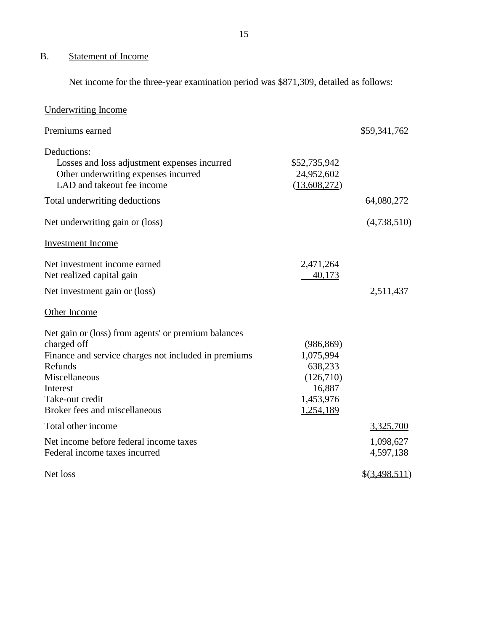#### <span id="page-16-0"></span>B. Statement of Income

Net income for the three-year examination period was \$871,309, detailed as follows:

| <b>Underwriting Income</b>                                                                                                                                                                                             |                                                                                     |                        |
|------------------------------------------------------------------------------------------------------------------------------------------------------------------------------------------------------------------------|-------------------------------------------------------------------------------------|------------------------|
| Premiums earned                                                                                                                                                                                                        |                                                                                     | \$59,341,762           |
| Deductions:<br>Losses and loss adjustment expenses incurred<br>Other underwriting expenses incurred<br>LAD and takeout fee income                                                                                      | \$52,735,942<br>24,952,602<br>(13,608,272)                                          |                        |
| Total underwriting deductions                                                                                                                                                                                          |                                                                                     | 64,080,272             |
| Net underwriting gain or (loss)                                                                                                                                                                                        |                                                                                     | (4,738,510)            |
| <b>Investment</b> Income                                                                                                                                                                                               |                                                                                     |                        |
| Net investment income earned<br>Net realized capital gain                                                                                                                                                              | 2,471,264<br>40,173                                                                 |                        |
| Net investment gain or (loss)                                                                                                                                                                                          |                                                                                     | 2,511,437              |
| Other Income                                                                                                                                                                                                           |                                                                                     |                        |
| Net gain or (loss) from agents' or premium balances<br>charged off<br>Finance and service charges not included in premiums<br>Refunds<br>Miscellaneous<br>Interest<br>Take-out credit<br>Broker fees and miscellaneous | (986, 869)<br>1,075,994<br>638,233<br>(126,710)<br>16,887<br>1,453,976<br>1,254,189 |                        |
| Total other income                                                                                                                                                                                                     |                                                                                     | 3,325,700              |
| Net income before federal income taxes<br>Federal income taxes incurred                                                                                                                                                |                                                                                     | 1,098,627<br>4,597,138 |
| Net loss                                                                                                                                                                                                               |                                                                                     | \$(3,498,511)          |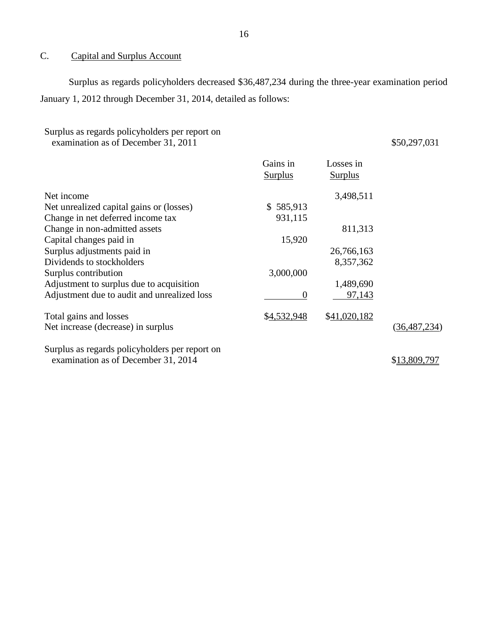#### <span id="page-17-0"></span> $\mathcal{C}$ . Capital and Surplus Account

 Surplus as regards policyholders decreased \$36,487,234 during the three-year examination period January 1, 2012 through December 31, 2014, detailed as follows:

| Surplus as regards policyholders per report on<br>examination as of December 31, 2011 |                |                | \$50,297,031   |
|---------------------------------------------------------------------------------------|----------------|----------------|----------------|
|                                                                                       | Gains in       | Losses in      |                |
|                                                                                       | <b>Surplus</b> | <b>Surplus</b> |                |
| Net income                                                                            |                | 3,498,511      |                |
| Net unrealized capital gains or (losses)                                              | \$585,913      |                |                |
| Change in net deferred income tax                                                     | 931,115        |                |                |
| Change in non-admitted assets                                                         |                | 811,313        |                |
| Capital changes paid in                                                               | 15,920         |                |                |
| Surplus adjustments paid in                                                           |                | 26,766,163     |                |
| Dividends to stockholders                                                             |                | 8,357,362      |                |
| Surplus contribution                                                                  | 3,000,000      |                |                |
| Adjustment to surplus due to acquisition                                              |                | 1,489,690      |                |
| Adjustment due to audit and unrealized loss                                           | $\overline{0}$ | 97,143         |                |
| Total gains and losses                                                                | \$4,532,948    | \$41,020,182   |                |
| Net increase (decrease) in surplus                                                    |                |                | (36, 487, 234) |
| Surplus as regards policyholders per report on                                        |                |                |                |
| examination as of December 31, 2014                                                   |                |                | \$13,809,797   |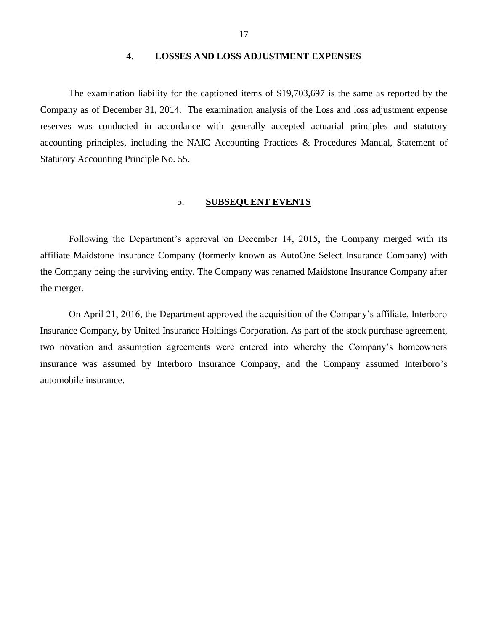#### **4. LOSSES AND LOSS ADJUSTMENT EXPENSES**

<span id="page-18-0"></span> Company as of December 31, 2014. The examination analysis of the Loss and loss adjustment expense reserves was conducted in accordance with generally accepted actuarial principles and statutory accounting principles, including the NAIC Accounting Practices & Procedures Manual, Statement of Statutory Accounting Principle No. 55. The examination liability for the captioned items of \$19,703,697 is the same as reported by the

#### 5. **SUBSEQUENT EVENTS**

<span id="page-18-1"></span> Following the Department's approval on December 14, 2015, the Company merged with its affiliate Maidstone Insurance Company (formerly known as AutoOne Select Insurance Company) with the Company being the surviving entity. The Company was renamed Maidstone Insurance Company after the merger.

 On April 21, 2016, the Department approved the acquisition of the Company's affiliate, Interboro Insurance Company, by United Insurance Holdings Corporation. As part of the stock purchase agreement, two novation and assumption agreements were entered into whereby the Company's homeowners insurance was assumed by Interboro Insurance Company, and the Company assumed Interboro's automobile insurance.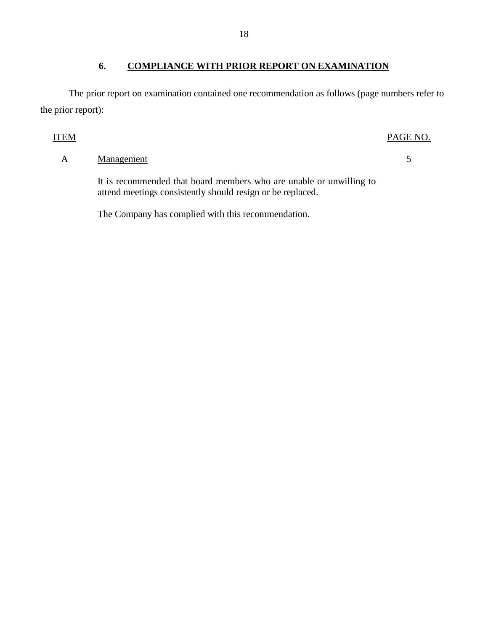## <span id="page-19-0"></span> **6. COMPLIANCE WITH PRIOR REPORT ON EXAMINATION**

 The prior report on examination contained one recommendation as follows (page numbers refer to the prior report):

## ITEM PAGE NO.

## A Management 5

 It is recommended that board members who are unable or unwilling to attend meetings consistently should resign or be replaced.

The Company has complied with this recommendation.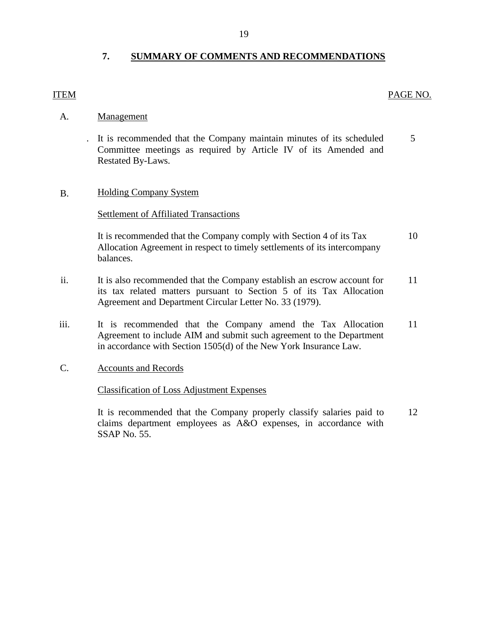## <span id="page-20-0"></span> **7. SUMMARY OF COMMENTS AND RECOMMENDATIONS**

## ITEM PAGE NO.

- A. Management
	- . It is recommended that the Company maintain minutes of its scheduled 5 Committee meetings as required by Article IV of its Amended and Restated By-Laws.

## B. Holding Company System

### **Settlement of Affiliated Transactions**

It is recommended that the Company comply with Section 4 of its Tax 10 Allocation Agreement in respect to timely settlements of its intercompany balances.

- ii. It is also recommended that the Company establish an escrow account for 11 its tax related matters pursuant to Section 5 of its Tax Allocation Agreement and Department Circular Letter No. 33 (1979).
- iii. It is recommended that the Company amend the Tax Allocation 11 Agreement to include AIM and submit such agreement to the Department in accordance with Section 1505(d) of the New York Insurance Law.
- C. Accounts and Records

## Classification of Loss Adjustment Expenses

 It is recommended that the Company properly classify salaries paid to [12](#page-13-1)  claims department employees as A&O expenses, in accordance with SSAP No. 55.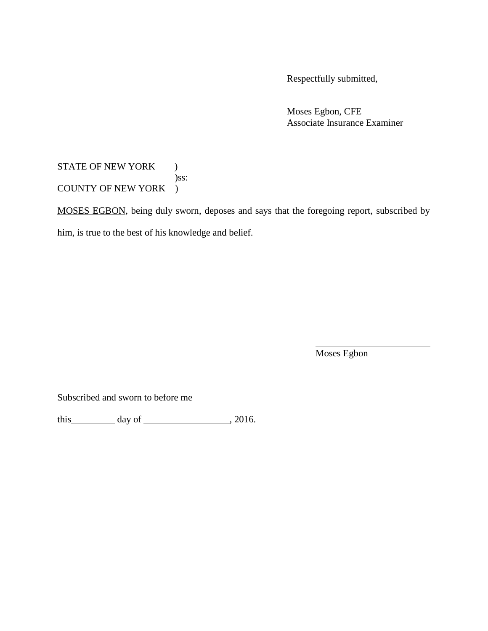Respectfully submitted,

 Associate Insurance Examiner Moses Egbon, CFE

## STATE OF NEW YORK ) COUNTY OF NEW YORK ) )ss:

MOSES EGBON, being duly sworn, deposes and says that the foregoing report, subscribed by him, is true to the best of his knowledge and belief.

Moses Egbon

Subscribed and sworn to before me

this  $\frac{day \text{ of } (x,y) \text{ of } (x,y) \text{ of } (x,y) \text{ of } (x,y) \text{ of } (x,y) \text{ of } (x,y)$